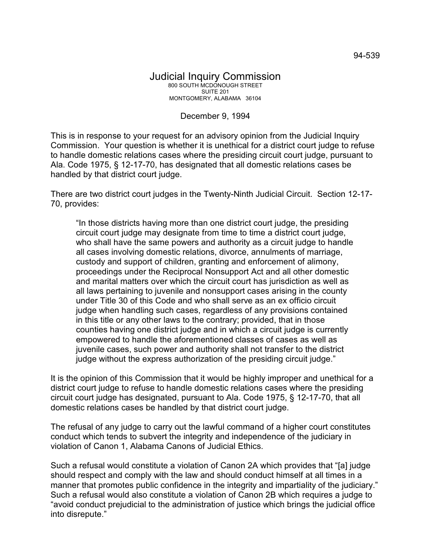## December 9, 1994

This is in response to your request for an advisory opinion from the Judicial Inquiry Commission. Your question is whether it is unethical for a district court judge to refuse to handle domestic relations cases where the presiding circuit court judge, pursuant to Ala. Code 1975, § 12-17-70, has designated that all domestic relations cases be handled by that district court judge.

There are two district court judges in the Twenty-Ninth Judicial Circuit. Section 12-17- 70, provides:

"In those districts having more than one district court judge, the presiding circuit court judge may designate from time to time a district court judge, who shall have the same powers and authority as a circuit judge to handle all cases involving domestic relations, divorce, annulments of marriage, custody and support of children, granting and enforcement of alimony, proceedings under the Reciprocal Nonsupport Act and all other domestic and marital matters over which the circuit court has jurisdiction as well as all laws pertaining to juvenile and nonsupport cases arising in the county under Title 30 of this Code and who shall serve as an ex officio circuit judge when handling such cases, regardless of any provisions contained in this title or any other laws to the contrary; provided, that in those counties having one district judge and in which a circuit judge is currently empowered to handle the aforementioned classes of cases as well as juvenile cases, such power and authority shall not transfer to the district judge without the express authorization of the presiding circuit judge."

It is the opinion of this Commission that it would be highly improper and unethical for a district court judge to refuse to handle domestic relations cases where the presiding circuit court judge has designated, pursuant to Ala. Code 1975, § 12-17-70, that all domestic relations cases be handled by that district court judge.

The refusal of any judge to carry out the lawful command of a higher court constitutes conduct which tends to subvert the integrity and independence of the judiciary in violation of Canon 1, Alabama Canons of Judicial Ethics.

Such a refusal would constitute a violation of Canon 2A which provides that "[a] judge should respect and comply with the law and should conduct himself at all times in a manner that promotes public confidence in the integrity and impartiality of the judiciary." Such a refusal would also constitute a violation of Canon 2B which requires a judge to "avoid conduct prejudicial to the administration of justice which brings the judicial office into disrepute."